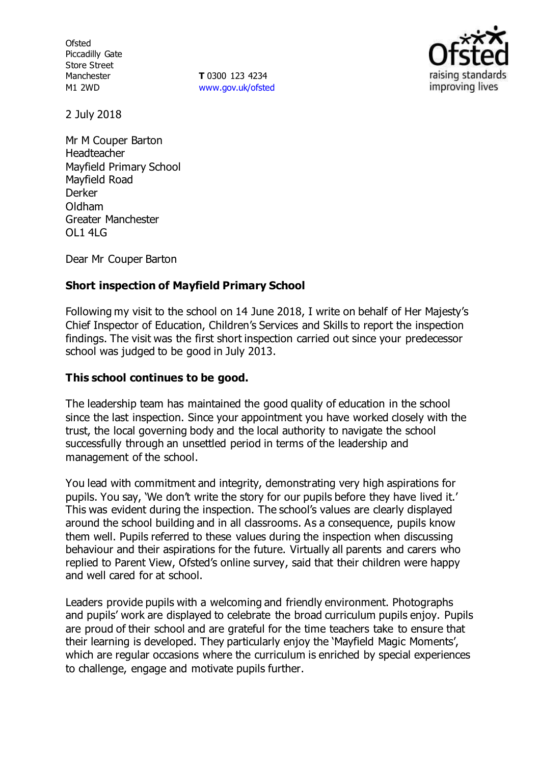**Ofsted** Piccadilly Gate Store Street Manchester M1 2WD

**T** 0300 123 4234 [www.gov.uk/ofsted](http://www.gov.uk/ofsted)



2 July 2018

Mr M Couper Barton Headteacher Mayfield Primary School Mayfield Road Derker Oldham Greater Manchester  $O$ L1 4LG

Dear Mr Couper Barton

# **Short inspection of Mayfield Primary School**

Following my visit to the school on 14 June 2018, I write on behalf of Her Majesty's Chief Inspector of Education, Children's Services and Skills to report the inspection findings. The visit was the first short inspection carried out since your predecessor school was judged to be good in July 2013.

## **This school continues to be good.**

The leadership team has maintained the good quality of education in the school since the last inspection. Since your appointment you have worked closely with the trust, the local governing body and the local authority to navigate the school successfully through an unsettled period in terms of the leadership and management of the school.

You lead with commitment and integrity, demonstrating very high aspirations for pupils. You say, 'We don't write the story for our pupils before they have lived it.' This was evident during the inspection. The school's values are clearly displayed around the school building and in all classrooms. As a consequence, pupils know them well. Pupils referred to these values during the inspection when discussing behaviour and their aspirations for the future. Virtually all parents and carers who replied to Parent View, Ofsted's online survey, said that their children were happy and well cared for at school.

Leaders provide pupils with a welcoming and friendly environment. Photographs and pupils' work are displayed to celebrate the broad curriculum pupils enjoy. Pupils are proud of their school and are grateful for the time teachers take to ensure that their learning is developed. They particularly enjoy the 'Mayfield Magic Moments', which are regular occasions where the curriculum is enriched by special experiences to challenge, engage and motivate pupils further.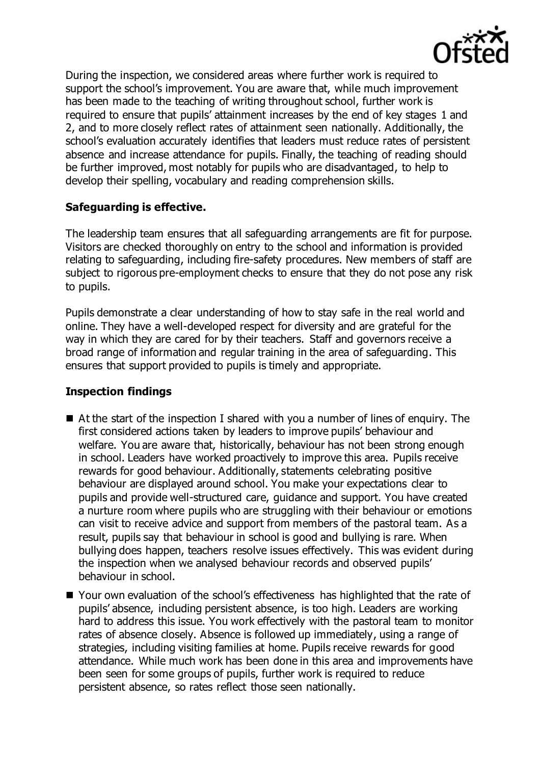

During the inspection, we considered areas where further work is required to support the school's improvement. You are aware that, while much improvement has been made to the teaching of writing throughout school, further work is required to ensure that pupils' attainment increases by the end of key stages 1 and 2, and to more closely reflect rates of attainment seen nationally. Additionally, the school's evaluation accurately identifies that leaders must reduce rates of persistent absence and increase attendance for pupils. Finally, the teaching of reading should be further improved, most notably for pupils who are disadvantaged, to help to develop their spelling, vocabulary and reading comprehension skills.

### **Safeguarding is effective.**

The leadership team ensures that all safeguarding arrangements are fit for purpose. Visitors are checked thoroughly on entry to the school and information is provided relating to safeguarding, including fire-safety procedures. New members of staff are subject to rigorous pre-employment checks to ensure that they do not pose any risk to pupils.

Pupils demonstrate a clear understanding of how to stay safe in the real world and online. They have a well-developed respect for diversity and are grateful for the way in which they are cared for by their teachers. Staff and governors receive a broad range of information and regular training in the area of safeguarding. This ensures that support provided to pupils is timely and appropriate.

### **Inspection findings**

- At the start of the inspection I shared with you a number of lines of enquiry. The first considered actions taken by leaders to improve pupils' behaviour and welfare. You are aware that, historically, behaviour has not been strong enough in school. Leaders have worked proactively to improve this area. Pupils receive rewards for good behaviour. Additionally, statements celebrating positive behaviour are displayed around school. You make your expectations clear to pupils and provide well-structured care, guidance and support. You have created a nurture room where pupils who are struggling with their behaviour or emotions can visit to receive advice and support from members of the pastoral team. As a result, pupils say that behaviour in school is good and bullying is rare. When bullying does happen, teachers resolve issues effectively. This was evident during the inspection when we analysed behaviour records and observed pupils' behaviour in school.
- Your own evaluation of the school's effectiveness has highlighted that the rate of pupils' absence, including persistent absence, is too high. Leaders are working hard to address this issue. You work effectively with the pastoral team to monitor rates of absence closely. Absence is followed up immediately, using a range of strategies, including visiting families at home. Pupils receive rewards for good attendance. While much work has been done in this area and improvements have been seen for some groups of pupils, further work is required to reduce persistent absence, so rates reflect those seen nationally.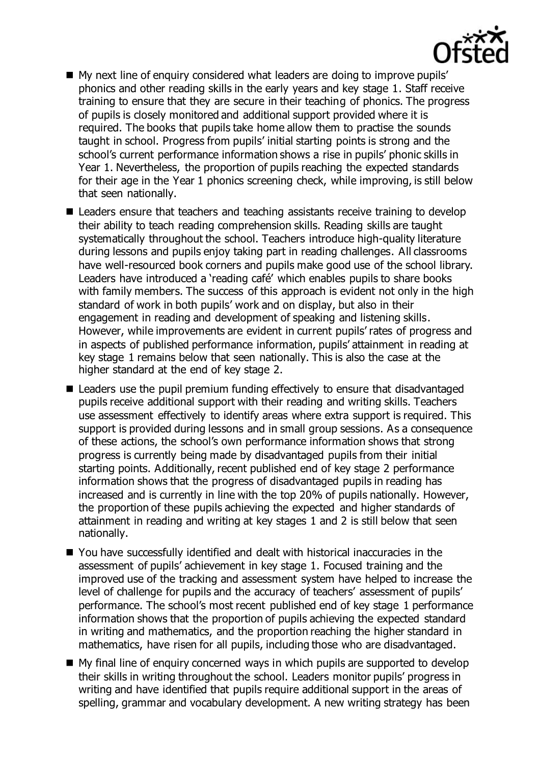

- My next line of enquiry considered what leaders are doing to improve pupils' phonics and other reading skills in the early years and key stage 1. Staff receive training to ensure that they are secure in their teaching of phonics. The progress of pupils is closely monitored and additional support provided where it is required. The books that pupils take home allow them to practise the sounds taught in school. Progress from pupils' initial starting points is strong and the school's current performance information shows a rise in pupils' phonic skills in Year 1. Nevertheless, the proportion of pupils reaching the expected standards for their age in the Year 1 phonics screening check, while improving, is still below that seen nationally.
- Leaders ensure that teachers and teaching assistants receive training to develop their ability to teach reading comprehension skills. Reading skills are taught systematically throughout the school. Teachers introduce high-quality literature during lessons and pupils enjoy taking part in reading challenges. All classrooms have well-resourced book corners and pupils make good use of the school library. Leaders have introduced a 'reading café' which enables pupils to share books with family members. The success of this approach is evident not only in the high standard of work in both pupils' work and on display, but also in their engagement in reading and development of speaking and listening skills. However, while improvements are evident in current pupils' rates of progress and in aspects of published performance information, pupils' attainment in reading at key stage 1 remains below that seen nationally. This is also the case at the higher standard at the end of key stage 2.
- Leaders use the pupil premium funding effectively to ensure that disadvantaged pupils receive additional support with their reading and writing skills. Teachers use assessment effectively to identify areas where extra support is required. This support is provided during lessons and in small group sessions. As a consequence of these actions, the school's own performance information shows that strong progress is currently being made by disadvantaged pupils from their initial starting points. Additionally, recent published end of key stage 2 performance information shows that the progress of disadvantaged pupils in reading has increased and is currently in line with the top 20% of pupils nationally. However, the proportion of these pupils achieving the expected and higher standards of attainment in reading and writing at key stages 1 and 2 is still below that seen nationally.
- You have successfully identified and dealt with historical inaccuracies in the assessment of pupils' achievement in key stage 1. Focused training and the improved use of the tracking and assessment system have helped to increase the level of challenge for pupils and the accuracy of teachers' assessment of pupils' performance. The school's most recent published end of key stage 1 performance information shows that the proportion of pupils achieving the expected standard in writing and mathematics, and the proportion reaching the higher standard in mathematics, have risen for all pupils, including those who are disadvantaged.
- My final line of enquiry concerned ways in which pupils are supported to develop their skills in writing throughout the school. Leaders monitor pupils' progress in writing and have identified that pupils require additional support in the areas of spelling, grammar and vocabulary development. A new writing strategy has been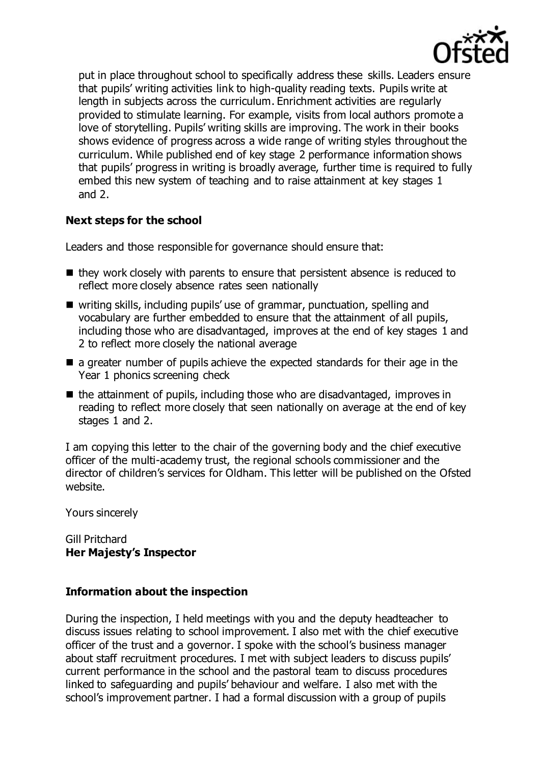

put in place throughout school to specifically address these skills. Leaders ensure that pupils' writing activities link to high-quality reading texts. Pupils write at length in subjects across the curriculum. Enrichment activities are regularly provided to stimulate learning. For example, visits from local authors promote a love of storytelling. Pupils' writing skills are improving. The work in their books shows evidence of progress across a wide range of writing styles throughout the curriculum. While published end of key stage 2 performance information shows that pupils' progress in writing is broadly average, further time is required to fully embed this new system of teaching and to raise attainment at key stages 1 and 2.

### **Next steps for the school**

Leaders and those responsible for governance should ensure that:

- $\blacksquare$  they work closely with parents to ensure that persistent absence is reduced to reflect more closely absence rates seen nationally
- writing skills, including pupils' use of grammar, punctuation, spelling and vocabulary are further embedded to ensure that the attainment of all pupils, including those who are disadvantaged, improves at the end of key stages 1 and 2 to reflect more closely the national average
- $\blacksquare$  a greater number of pupils achieve the expected standards for their age in the Year 1 phonics screening check
- $\blacksquare$  the attainment of pupils, including those who are disadvantaged, improves in reading to reflect more closely that seen nationally on average at the end of key stages 1 and 2.

I am copying this letter to the chair of the governing body and the chief executive officer of the multi-academy trust, the regional schools commissioner and the director of children's services for Oldham. This letter will be published on the Ofsted website.

Yours sincerely

Gill Pritchard **Her Majesty's Inspector**

### **Information about the inspection**

During the inspection, I held meetings with you and the deputy headteacher to discuss issues relating to school improvement. I also met with the chief executive officer of the trust and a governor. I spoke with the school's business manager about staff recruitment procedures. I met with subject leaders to discuss pupils' current performance in the school and the pastoral team to discuss procedures linked to safeguarding and pupils' behaviour and welfare. I also met with the school's improvement partner. I had a formal discussion with a group of pupils